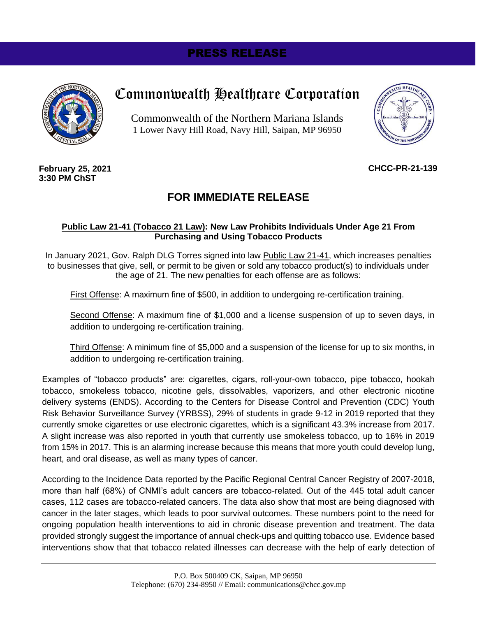# PRESS RELEASE



# Commonwealth Healthcare Corporation

Commonwealth of the Northern Mariana Islands 1 Lower Navy Hill Road, Navy Hill, Saipan, MP 96950



#### **February 25, 2021 3:30 PM ChST**

## **CHCC-PR-21-139**

# **FOR IMMEDIATE RELEASE**

### **Public Law 21-41 (Tobacco 21 Law): New Law Prohibits Individuals Under Age 21 From Purchasing and Using Tobacco Products**

In January 2021, Gov. Ralph DLG Torres signed into law Public Law 21-41, which increases penalties to businesses that give, sell, or permit to be given or sold any tobacco product(s) to individuals under the age of 21. The new penalties for each offense are as follows:

First Offense: A maximum fine of \$500, in addition to undergoing re-certification training.

Second Offense: A maximum fine of \$1,000 and a license suspension of up to seven days, in addition to undergoing re-certification training.

Third Offense: A minimum fine of \$5,000 and a suspension of the license for up to six months, in addition to undergoing re-certification training.

Examples of "tobacco products" are: cigarettes, cigars, roll-your-own tobacco, pipe tobacco, hookah tobacco, smokeless tobacco, nicotine gels, dissolvables, vaporizers, and other electronic nicotine delivery systems (ENDS). According to the Centers for Disease Control and Prevention (CDC) Youth Risk Behavior Surveillance Survey (YRBSS), 29% of students in grade 9-12 in 2019 reported that they currently smoke cigarettes or use electronic cigarettes, which is a significant 43.3% increase from 2017. A slight increase was also reported in youth that currently use smokeless tobacco, up to 16% in 2019 from 15% in 2017. This is an alarming increase because this means that more youth could develop lung, heart, and oral disease, as well as many types of cancer.

According to the Incidence Data reported by the Pacific Regional Central Cancer Registry of 2007-2018, more than half (68%) of CNMI's adult cancers are tobacco-related. Out of the 445 total adult cancer cases, 112 cases are tobacco-related cancers. The data also show that most are being diagnosed with cancer in the later stages, which leads to poor survival outcomes. These numbers point to the need for ongoing population health interventions to aid in chronic disease prevention and treatment. The data provided strongly suggest the importance of annual check-ups and quitting tobacco use. Evidence based interventions show that that tobacco related illnesses can decrease with the help of early detection of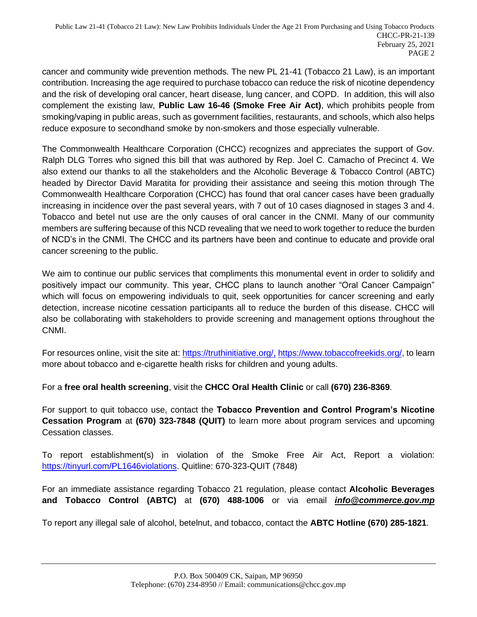cancer and community wide prevention methods. The new PL 21-41 (Tobacco 21 Law), is an important contribution. Increasing the age required to purchase tobacco can reduce the risk of nicotine dependency and the risk of developing oral cancer, heart disease, lung cancer, and COPD. In addition, this will also complement the existing law, **Public Law 16-46 (Smoke Free Air Act)**, which prohibits people from smoking/vaping in public areas, such as government facilities, restaurants, and schools, which also helps reduce exposure to secondhand smoke by non-smokers and those especially vulnerable.

The Commonwealth Healthcare Corporation (CHCC) recognizes and appreciates the support of Gov. Ralph DLG Torres who signed this bill that was authored by Rep. Joel C. Camacho of Precinct 4. We also extend our thanks to all the stakeholders and the Alcoholic Beverage & Tobacco Control (ABTC) headed by Director David Maratita for providing their assistance and seeing this motion through The Commonwealth Healthcare Corporation (CHCC) has found that oral cancer cases have been gradually increasing in incidence over the past several years, with 7 out of 10 cases diagnosed in stages 3 and 4. Tobacco and betel nut use are the only causes of oral cancer in the CNMI. Many of our community members are suffering because of this NCD revealing that we need to work together to reduce the burden of NCD's in the CNMI. The CHCC and its partners have been and continue to educate and provide oral cancer screening to the public.

We aim to continue our public services that compliments this monumental event in order to solidify and positively impact our community. This year, CHCC plans to launch another "Oral Cancer Campaign" which will focus on empowering individuals to quit, seek opportunities for cancer screening and early detection, increase nicotine cessation participants all to reduce the burden of this disease. CHCC will also be collaborating with stakeholders to provide screening and management options throughout the CNMI.

For resources online, visit the site at: [https://truthinitiative.org/,](https://truthinitiative.org/) [https://www.tobaccofreekids.org/,](https://www.tobaccofreekids.org/) to learn more about tobacco and e-cigarette health risks for children and young adults.

For a **free oral health screening**, visit the **CHCC Oral Health Clinic** or call **(670) 236-8369**.

For support to quit tobacco use, contact the **Tobacco Prevention and Control Program's Nicotine Cessation Program** at **(670) 323-7848 (QUIT)** to learn more about program services and upcoming Cessation classes.

To report establishment(s) in violation of the Smoke Free Air Act, Report a violation: [https://tinyurl.com/PL1646violations.](https://tinyurl.com/PL1646violations) Quitline: 670-323-QUIT (7848)

For an immediate assistance regarding Tobacco 21 regulation, please contact **Alcoholic Beverages and Tobacco Control (ABTC)** at **(670) 488-1006** or via email *[info@commerce.gov.mp](mailto:info@commerce.gov.mp)*

To report any illegal sale of alcohol, betelnut, and tobacco, contact the **ABTC Hotline (670) 285-1821**.